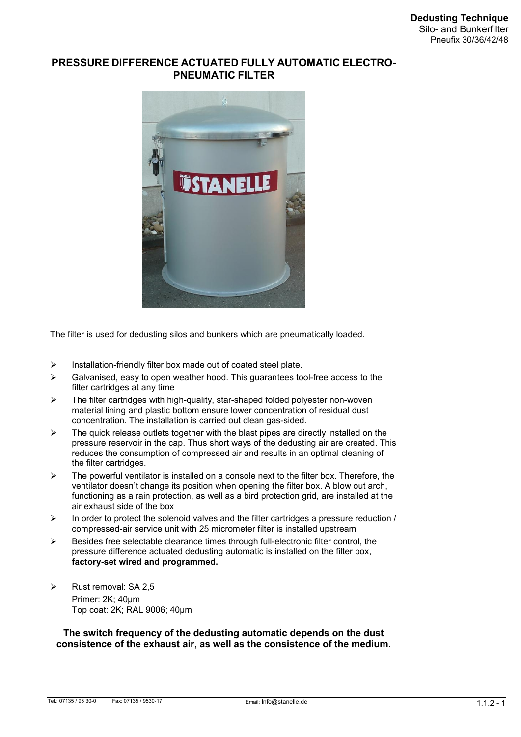# **PRESSURE DIFFERENCE ACTUATED FULLY AUTOMATIC ELECTRO- PNEUMATIC FILTER**



The filter is used for dedusting silos and bunkers which are pneumatically loaded.

- $\triangleright$  Installation-friendly filter box made out of coated steel plate.
- $\triangleright$  Galvanised, easy to open weather hood. This guarantees tool-free access to the filter cartridges at any time
- $\geq$  The filter cartridges with high-quality, star-shaped folded polyester non-woven material lining and plastic bottom ensure lower concentration of residual dust concentration. The installation is carried out clean gas-sided.
- $\triangleright$  The quick release outlets together with the blast pipes are directly installed on the pressure reservoir in the cap. Thus short ways of the dedusting air are created. This reduces the consumption of compressed air and results in an optimal cleaning of the filter cartridges.
- $\triangleright$  The powerful ventilator is installed on a console next to the filter box. Therefore, the ventilator doesn't change its position when opening the filter box. A blow out arch, functioning as a rain protection, as well as a bird protection grid, are installed at the air exhaust side of the box
- $\triangleright$  In order to protect the solenoid valves and the filter cartridges a pressure reduction / compressed-air service unit with 25 micrometer filter is installed upstream
- $\triangleright$  Besides free selectable clearance times through full-electronic filter control, the pressure difference actuated dedusting automatic is installed on the filter box, **factory-set wired and programmed.**
- Rust removal: SA 2,5 Primer: 2K; 40μm Top coat: 2K; RAL 9006; 40μm

**The switch frequency of the dedusting automatic depends on the dust consistence of the exhaust air, as well as the consistence of the medium.**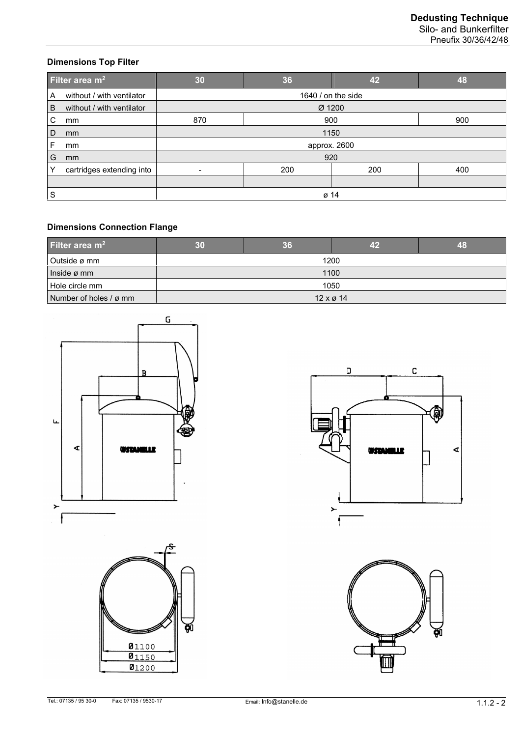Silo- and Bunkerfilter Pneufix 30/36/42/48

## **Dimensions Top Filter**

| Filter area $m2$ |                           | 30                       | 36  | 42  | 48  |
|------------------|---------------------------|--------------------------|-----|-----|-----|
| A                | without / with ventilator | 1640 / on the side       |     |     |     |
| B                | without / with ventilator | $\varnothing$ 1200       |     |     |     |
| C                | mm                        | 870<br>900<br>900        |     |     |     |
| D                | mm                        | 1150                     |     |     |     |
| F                | mm                        | approx. 2600             |     |     |     |
| G                | mm                        | 920                      |     |     |     |
| ⋎                | cartridges extending into | $\overline{\phantom{a}}$ | 200 | 200 | 400 |
|                  |                           |                          |     |     |     |
| S                |                           | ø 14                     |     |     |     |

# **Dimensions Connection Flange**

| Filter area $m2$       |                          | 36 | 42   | 48 |  |
|------------------------|--------------------------|----|------|----|--|
| Outside ø mm           |                          |    | 1200 |    |  |
| Inside ø mm            | 1100                     |    |      |    |  |
| Hole circle mm         | 1050                     |    |      |    |  |
| Number of holes / ø mm | $12 \times \emptyset$ 14 |    |      |    |  |